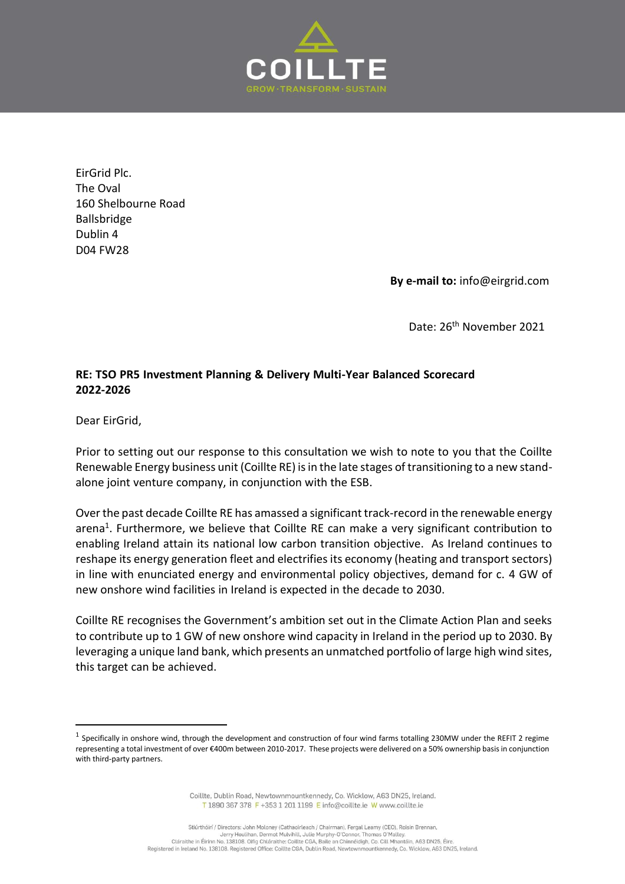

EirGrid Plc. The Oval 160 Shelbourne Road Ballsbridge Dublin 4 D04 FW28

**By e-mail to:** info@eirgrid.com

Date: 26<sup>th</sup> November 2021

## **RE: TSO PR5 Investment Planning & Delivery Multi-Year Balanced Scorecard 2022-2026**

Dear EirGrid,

Prior to setting out our response to this consultation we wish to note to you that the Coillte Renewable Energy business unit (Coillte RE) is in the late stages of transitioning to a new standalone joint venture company, in conjunction with the ESB.

Over the past decade Coillte RE has amassed a significant track-record in the renewable energy arena<sup>1</sup>. Furthermore, we believe that Coillte RE can make a very significant contribution to enabling Ireland attain its national low carbon transition objective. As Ireland continues to reshape its energy generation fleet and electrifies its economy (heating and transport sectors) in line with enunciated energy and environmental policy objectives, demand for c. 4 GW of new onshore wind facilities in Ireland is expected in the decade to 2030.

Coillte RE recognises the Government's ambition set out in the Climate Action Plan and seeks to contribute up to 1 GW of new onshore wind capacity in Ireland in the period up to 2030. By leveraging a unique land bank, which presents an unmatched portfolio of large high wind sites, this target can be achieved.

Coillte, Dublin Road, Newtownmountkennedy, Co. Wicklow, A63 DN25, Ireland. T 1890 367 378 F +353 1 201 1199 E info@coillte.ie W www.coillte.ie

<sup>&</sup>lt;sup>1</sup> Specifically in onshore wind, through the development and construction of four wind farms totalling 230MW under the REFIT 2 regime representing a total investment of over €400m between 2010-2017. These projects were delivered on a 50% ownership basis in conjunction with third-party partners.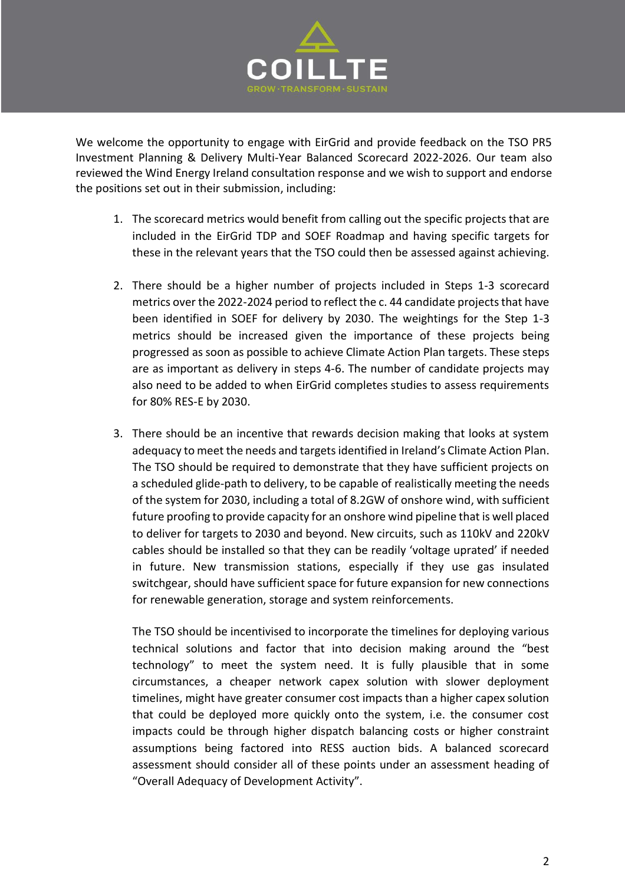

We welcome the opportunity to engage with EirGrid and provide feedback on the TSO PR5 Investment Planning & Delivery Multi-Year Balanced Scorecard 2022-2026. Our team also reviewed the Wind Energy Ireland consultation response and we wish to support and endorse the positions set out in their submission, including:

- 1. The scorecard metrics would benefit from calling out the specific projects that are included in the EirGrid TDP and SOEF Roadmap and having specific targets for these in the relevant years that the TSO could then be assessed against achieving.
- 2. There should be a higher number of projects included in Steps 1-3 scorecard metrics over the 2022-2024 period to reflect the c. 44 candidate projects that have been identified in SOEF for delivery by 2030. The weightings for the Step 1-3 metrics should be increased given the importance of these projects being progressed as soon as possible to achieve Climate Action Plan targets. These steps are as important as delivery in steps 4-6. The number of candidate projects may also need to be added to when EirGrid completes studies to assess requirements for 80% RES-E by 2030.
- 3. There should be an incentive that rewards decision making that looks at system adequacy to meet the needs and targetsidentified in Ireland's Climate Action Plan. The TSO should be required to demonstrate that they have sufficient projects on a scheduled glide-path to delivery, to be capable of realistically meeting the needs of the system for 2030, including a total of 8.2GW of onshore wind, with sufficient future proofing to provide capacity for an onshore wind pipeline that is well placed to deliver for targets to 2030 and beyond. New circuits, such as 110kV and 220kV cables should be installed so that they can be readily 'voltage uprated' if needed in future. New transmission stations, especially if they use gas insulated switchgear, should have sufficient space for future expansion for new connections for renewable generation, storage and system reinforcements.

The TSO should be incentivised to incorporate the timelines for deploying various technical solutions and factor that into decision making around the "best technology" to meet the system need. It is fully plausible that in some circumstances, a cheaper network capex solution with slower deployment timelines, might have greater consumer cost impacts than a higher capex solution that could be deployed more quickly onto the system, i.e. the consumer cost impacts could be through higher dispatch balancing costs or higher constraint assumptions being factored into RESS auction bids. A balanced scorecard assessment should consider all of these points under an assessment heading of "Overall Adequacy of Development Activity".